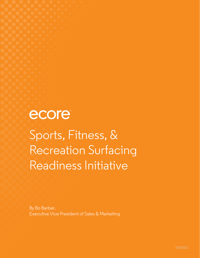ecore

Sports, Fitness, & Recreation Surfacing Readiness Initiative

By Bo Barber, Executive Vice President of Sales & Marketing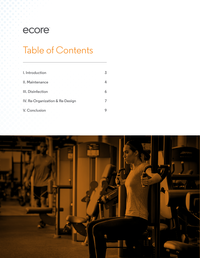# ecore

# Table of Contents

| the control of the control of<br>I. Introduction<br>and the company's property and the company's |  |
|--------------------------------------------------------------------------------------------------|--|
| .<br>II. Maintenance                                                                             |  |
| III. Disinfection                                                                                |  |
| IV. Re-Organization & Re-Design                                                                  |  |
| V. Conclusion                                                                                    |  |

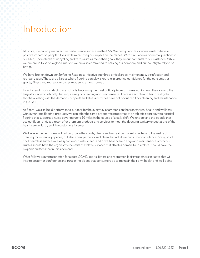# Introduction

At Ecore, we proudly manufacture performance surfaces in the USA. We design and test our materials to have a positive impact on people's lives while minimizing our impact on the planet. With circular environmental practices in our DNA, Ecore thinks of upcycling and zero waste as more than goals; they are fundamental to our existence. While we are proud to serve a global market, we are also committed to helping our company and our country to rally to be better.

We have broken down our Surfacing Readiness Initiative into three critical areas: maintenance, disinfection and reorganization. These are all areas where flooring can play a key role in creating confidence for the consumer, as sports, fitness and recreation spaces reopen to a new normal.

Flooring and sports surfacing are not only becoming the most critical pieces of fitness equipment, they are also the largest surfaces in a facility that require regular cleaning and maintenance. There is a simple and harsh reality that facilities dealing with the demands of sports and fitness activities have not prioritized floor cleaning and maintenance in the past.

At Ecore, we also build performance surfaces for the everyday champions on the frontlines in health and wellness with our unique flooring products, we can offer the same ergonomic properties of an athletic sport court to hospital flooring that supports a nurse covering up to 10 miles in the course of a daily shift. We understand the people that use our floors; and, as a result offer premium products and services to meet the daunting sanitary expectations of the healthcare industry and the customers it serves.

We believe the new norm will not only force the sports, fitness and recreation market to adhere to the reality of creating more sanitary spaces, but also a new perception of clean that will drive consumer confidence. Shiny, solid, cool, seamless surfaces are all synonymous with ¨clean¨ and drive healthcare design and maintenance protocols. Nurses should have the ergonomic benefits of athletic surfaces that athletes demand and athletes should have the hygienic surfaces that nurses demand.

What follows is our prescription for a post-COVID sports, fitness and recreation facility readiness initiative that will inspire customer confidence and trust in the places that consumers go to maintain their own health and well-being.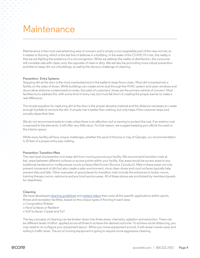# **Maintenance**

Maintenance is the most overwhelming area of concern and is simply a non-negotiable part of the new normal, as it relates to flooring, which is the last line of defense in a building. In the wake of the COVID-19 crisis, the reality is that we are fighting the existence of a microorganism. While we address the reality of disinfection, the consumer will correlate safe with clean; and, the opposite of clean is dirty. We will also be promoting more robust prevention activities to keep dirt out of buildings, as well as the obvious challenge of cleaning.

### **Prevention: Entry Systems**

Stopping dirt at the door is the most overlooked tool in the battle to keep floors clean. Most dirt is tracked into a facility on the soles of shoes. While buildings can create some dust through the HVAC system and open windows and doors allow airborne contaminants to enter, the soles of customers' shoes are the primary vehicle of concern. Most facilities try to address this with some kind of entry mat, but most fall short of creating the proper barrier to make a real difference.

The simple equation for capturing dirt at the door is the proper abrasive material and the distance necessary to create enough footfalls to remove the dirt. A simple mat is better than nothing, but only helps if the customer stops and actually wipes their feet.

We do not recommend exterior mats unless there is an effective roof or awning to protect the mat. If an exterior mat is exposed to the elements, it will offer very little value. For that reason, we suggest keeping your efforts focused on the interior space.

While every facility will face unique challenges, whether the sand of Arizona or clay of Georgia, our recommendation is 20 feet of a proper entry way matting.

### **Prevention: Transition Mats**

The next level of prevention is to keep dirt from moving around your facility. We recommend transition mats at key areas between different surfaces or access points within your facility. Key areas would be access areas to any traditional hardwood or multipurpose courts surfaces (like Ecore's Bounce 2 product). Mats in these areas not only prevent movement of dirt but also create a safer environment, since clean shoes and court surfaces typically help prevent slips and falls. Other examples of good places for transition mats include the entrances to locker rooms, training-therapy rooms, restrooms and any food service areas. All of these places are scrutinized by members/guests for cleanliness.

### **Cleaning**

We have developed cleaning quidelines and [related videos](https://www.youtube.com/playlist?list=PLtaPYIuoK_11XCOuDOypBzz7WwjnRT-nW) that cover all the specific applications within sports, fitness and recreation facilities, based on the unique types of flooring in each area: o Composition Rubber o Hard Surfaces or Resilient o Soft Surfaces: Carpet and Turf

The key concepts of cleaning can be broken down into three areas: chemistry, agitation and extraction. There can be different levels of effort applied across all three to achieve the desired outcome. To achieve social distancing, you may need to re-configure your equipment layout. When you move equipment around, it will reveal uneven wear and soiling in traffic lanes. The act of moving equipment is going to require some aggressive cleaning.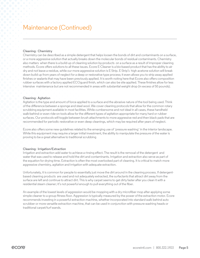### Maintenance (Continued)

### **Cleaning: Chemistry**

Chemistry can be described as a simple detergent that helps loosen the bonds of dirt and contaminants on a surface, or a more aggressive solution that actually breaks down the molecular bonds of residual contaminants. Chemistry also matters when there is a build-up of cleaning solution by-products on a surface as a result of improper cleaning methods. Ecore offers solutions to all these issues. Ecore E-Cleaner is a bio-based product that has the ability to air dry and not leave a residue, while our more aggressive solution is E-Strip. E-Strip's high acetone solution will break down build up from years of neglect for a deep or restorative type process; it even allows you to strip away applied finishes or sealants that may have been previously applied. It is worth noting here that Ecore also offers composition rubber surfaces with a factory applied ECOguard finish, which can also be site applied. These finishes allow for less intensive maintenance but are not recommended in areas with substantial weight drop (in excess of 50 pounds).

### **Cleaning: Agitation**

Agitation is the type and amount of force applied to a surface and the abrasive nature of the tool being used. Think of the difference between a sponge and steel wool. We cover cleaning protocols that allow for the common rotary scrubbing equipment available in most facilities. While cumbersome and not ideal in all cases, these handheld walk-behind or even ride-on tools allow for the different types of agitation appropriate for many hard or rubber surfaces. Our protocols will toggle between brush attachments to more aggressive red and then black pads that are recommended for periodic restorative or even deep cleanings, which may be required after years of neglect.

Ecore also offers some new guidelines related to the emerging use of ¨pressure washing¨ in the interior landscape. While this equipment may require a larger initial investment, the ability to manipulate the pressure of the water is proving to be a great alternative to traditional scrubbing

### **Cleaning: Irrigation/Extraction**

Irrigation and extraction add water to achieve a rinsing effect. The result is the removal of the detergent and water that was used to release and hold the dirt and contaminants. Irrigation and extraction also serve as part of the equation for drying time. Extraction is often the most overlooked part of cleaning. It is critical to match more aggressive chemistry, agitation and irrigation with adequate extraction.

Unfortunately, it is common for people to essentially just move the dirt around in the cleaning process. If detergentbased cleaning products are used and not adequately extracted, the surfactants that attract dirt away from the surface are left and continue to attract dirt. This is why carpet seems to get dirty faster after you clean it with a residential steam cleaner; it's not powerful enough to pull everything out of the fiber.

An example of the lowest levels of aggression would be mopping with a dry microfiber mop after applying some simple cleaner to a group fitness floor. Aggression is typically measured by the power of the extraction motor. Ecore recommends investing in a powerful extraction machine, whether incorporated into standard walk behind auto scrubber or more versatile extraction machine, that can be used in conjunction with pressure washing heads or traditional carpet/turf wands.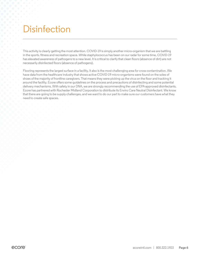# **Disinfection**

This activity is clearly getting the most attention. COVID-19 is simply another micro-organism that we are battling in the sports. fitness and recreation space. While staphylococcus has been on our radar for some time, COVID-19 has elevated awareness of pathogens to a new level. It is critical to clarify that clean floors (absence of dirt) are not necessarily disinfected floors (absence of pathogens).

Flooring represents the largest surface in a facility. It also is the most challenging area for cross contamination. We have data from the healthcare industry that shows active COVID-19 micro-organisms were found on the soles of shoes of the majority of frontline caregivers. That means they were picking up the virus on the floor and tracking it around the facility. Ecore offers some guidelines on the process and precautions of disinfecting and some potential delivery mechanisms. With safety in our DNA, we are strongly recommending the use of EPA-approved disinfectants. Ecore has partnered with Rochester Midland Corporation to distribute its Enviro Care Neutral Disinfectant. We know that there are going to be supply challenges, and we want to do our part to make sure our customers have what they need to create safe spaces.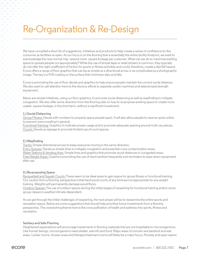# Re-Organization & Re-Design

We have compiled a short list of suggestions, initiatives and products to help create a sense of confidence for the consumer as facilities re-open. As our focus is on the flooring that is essentially the entire facility footprint, we want to acknowledge the new normal may require more square footage per customer. What can we do to maximize existing space to spread people out appropriately? While the use of simple tape or retail stickers is common, they typically do not offer the right coefficient of friction for sports or fitness activities and could, therefore, create a slip/fall hazard. Ecore offers a range of floor graphics that can be as simple as a directional arrow or as complicated as a photographic image. The key is a PUR coating on the surface that minimizes slips and falls.

Ecore is promoting the use of floor decals and graphics to help ensure people maintain the correct social distance. We also want to call attention here to the obvious efforts to separate cardio machines and selectorized strength equipment.

Below are simple initiatives, using our floor graphics, to promote social distancing as well as wayfinding to mitigate congestion. We also offer some direction from the flooring side on how to re-purpose existing space to create more usable square footage, in the short term, without a significant investment.

### **1.) Social Distancing**

Group Fitness: Decals with numbers to properly space people apart. It will also allow people to reserve spots online to prevent overcrowding in general.

Functional Training: Graphics to indicate proper usage and to promote adequate spacing around multi-use pieces. Courts: Decals as signage to promote limited use of court spaces.

### **2.) Wayfinding**

Tracks: Simple directional arrows to keep everyone moving in the same direction. Entry Queues: Decals as simple lines to mitigate congestion and potential cross-contamination areas. Water Stations & Vending Ares: Simple lines and graphics that promote social distances in congested areas. Free Weight Areas: Graphics promoting the use of hand sanitizer frequently and reminders to wipe down equipment after use.

### **3.) Re-purposing Space**

Racquetball and Squash Courts: These seem to be ideal areas to gain space for group fitness or functional training. Our caution from a flooring perspective is that hard wood courts of any kind are not appropriate for any weight training. Weights will permanently damage wood floors.

Outdoor Spaces: The use of outdoor spaces during the initial stages of reopening for functional training and/or some group classes is weather/climate dependent.

As we get through the initial challenges of reopening, the next phase will be to reexamine the entire sports and recreation space. Below are some suggestions that should help prioritize future investments from a flooring perspective. The overarching theme here is the cross pollination of health and wellness into sports, fitness and recreation.

### **Sanitary and Safe Flooring**

Heightened expectations will encourage investments in flooring materials that are not hospitable to microorganisms. Like human beings, microorganisms need shelter, warmth and food. Major areas of concern are barefoot and wet areas. Locker rooms, shower areas and therapy/treatment rooms will likely be a major focus. Porosity and open seams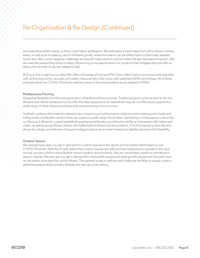### Re-Organization & Re-Design (Continued)

are potential problem areas, as they could harbor pathogens. We anticipate a trend away from soft surfaces in these areas, as well as an increasing use of roll/sheet goods, where the seams can be either heat or chemically welded. Grout also offers some hygiene challenges and would make ceramic and porcelain tile less desirable long-term. We also see the overarching trend of safety influencing more specifications for products that mitigate slips and falls as well as the severity of injuries related to falls.

At Ecore, this is right up our alley! We offer a full range of vinyl and PVC-free rubber that is non-porous and seamless with all the ergonomic, acoustic and safety characteristics that come with patented itsTRU technology. All of these changes driven by COVID-19 will also address some of the long-standing issues related to MRSA.

### **Multipurpose Flooring**

Designing flexibility into the next generation of facilities will be a priority. Traditional sports surfaces tend to be one dimensional. While hardwood courts offer the ideal experience for basketball, they do not effectively support the wide range of other physical activities that are becoming more common.

Synthetic surfaces that meet the desired class of sport court performance, while accommodating point loads and rolling loads, are flexible solutions that can support a wide range of activities. Specifying a multipurpose surface like our Bounce 2 allows for a great basketball experience while also providing the ability to host events with tables and chairs, as well as group fitness classes with kettle bells and bars and dance teams. A multi-purpose surface like this allows for a large commitment of square footage to become an asset instead of a liability because of its flexibility.

### **Outdoor Spaces**

We already have seen a surge in demand for outdoor spaces in the sports and recreation field based on pre-COVID-19 trends. With the simple reality that outdoor spaces are safer and less expensive to operate in the new normal, we see a shift to more flexible indoor/outdoor environments that are convertible, based on climate and season change. We also see a surge in demand for more adult playground settings with equipment focused more on recreation activities than strictly fitness. The general surge in wellness will challenge facilities to supply outdoor gathering spaces that provide a flexible and natural social setting.